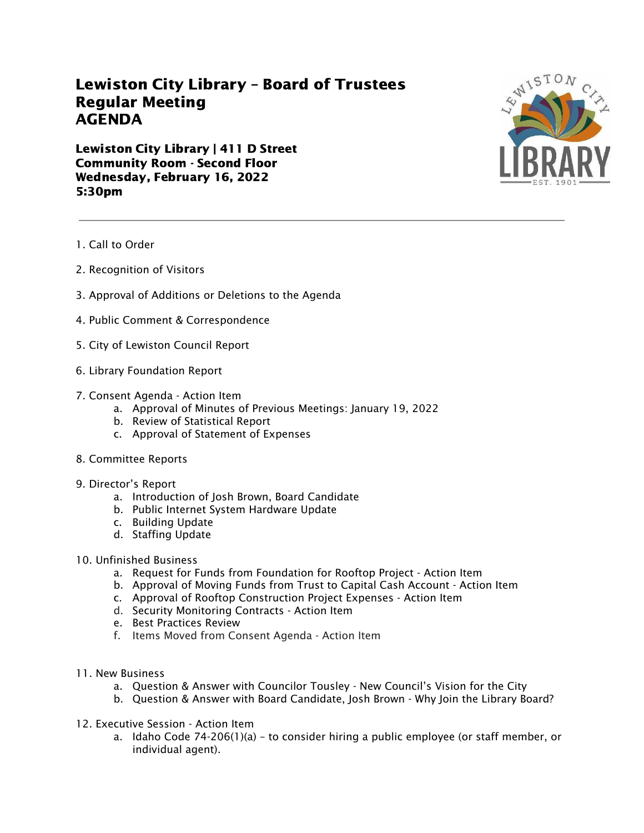## Lewiston City Library – Board of Trustees Regular Meeting AGENDA

Lewiston City Library | 411 D Street Community Room - Second Floor Wednesday, February 16, 2022 5:30pm



- 1. Call to Order
- 2. Recognition of Visitors
- 3. Approval of Additions or Deletions to the Agenda
- 4. Public Comment & Correspondence
- 5. City of Lewiston Council Report
- 6. Library Foundation Report
- 7. Consent Agenda Action Item
	- a. Approval of Minutes of Previous Meetings: January 19, 2022
	- b. Review of Statistical Report
	- c. Approval of Statement of Expenses
- 8. Committee Reports
- 9. Director's Report
	- a. Introduction of Josh Brown, Board Candidate
	- b. Public Internet System Hardware Update
	- c. Building Update
	- d. Staffing Update
- 10. Unfinished Business
	- a. Request for Funds from Foundation for Rooftop Project Action Item
	- b. Approval of Moving Funds from Trust to Capital Cash Account Action Item
	- c. Approval of Rooftop Construction Project Expenses Action Item
	- d. Security Monitoring Contracts Action Item
	- e. Best Practices Review
	- f. Items Moved from Consent Agenda Action Item
- 11. New Business
	- a. Question & Answer with Councilor Tousley New Council's Vision for the City
	- b. Question & Answer with Board Candidate, Josh Brown Why Join the Library Board?
- 12. Executive Session Action Item
	- a. Idaho Code 74-206(1)(a) to consider hiring a public employee (or staff member, or individual agent).